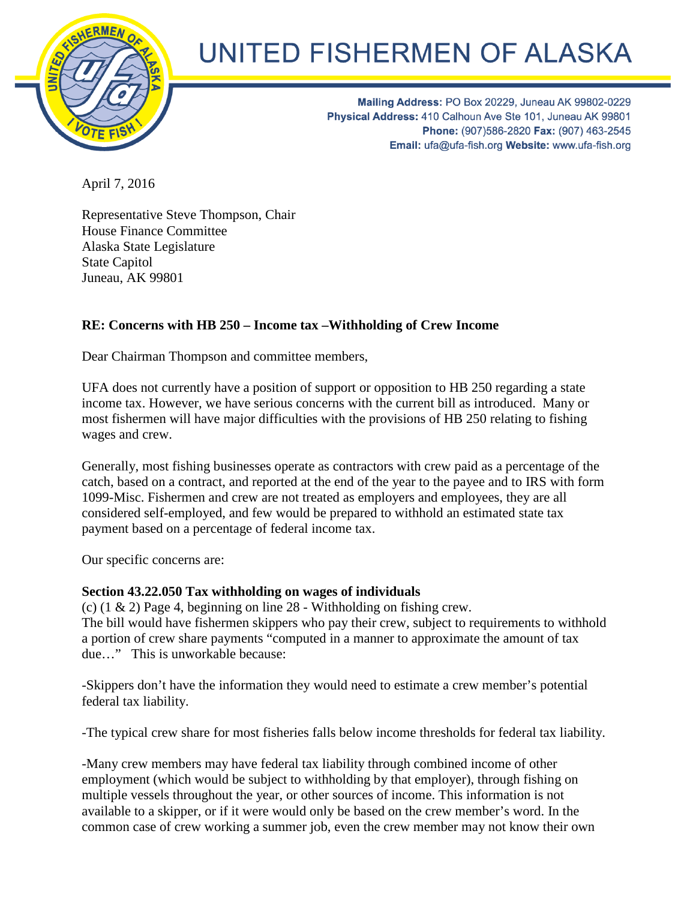

## UNITED FISHERMEN OF ALASKA

Mailing Address: PO Box 20229, Juneau AK 99802-0229 Physical Address: 410 Calhoun Ave Ste 101, Juneau AK 99801 Phone: (907)586-2820 Fax: (907) 463-2545 Email: ufa@ufa-fish.org Website: www.ufa-fish.org

April 7, 2016

Representative Steve Thompson, Chair House Finance Committee Alaska State Legislature State Capitol Juneau, AK 99801

## **RE: Concerns with HB 250 – Income tax –Withholding of Crew Income**

Dear Chairman Thompson and committee members,

UFA does not currently have a position of support or opposition to HB 250 regarding a state income tax. However, we have serious concerns with the current bill as introduced. Many or most fishermen will have major difficulties with the provisions of HB 250 relating to fishing wages and crew.

Generally, most fishing businesses operate as contractors with crew paid as a percentage of the catch, based on a contract, and reported at the end of the year to the payee and to IRS with form 1099-Misc. Fishermen and crew are not treated as employers and employees, they are all considered self-employed, and few would be prepared to withhold an estimated state tax payment based on a percentage of federal income tax.

Our specific concerns are:

## **Section 43.22.050 Tax withholding on wages of individuals**

(c)  $(1 \& 2)$  Page 4, beginning on line 28 - Withholding on fishing crew. The bill would have fishermen skippers who pay their crew, subject to requirements to withhold a portion of crew share payments "computed in a manner to approximate the amount of tax due…" This is unworkable because:

-Skippers don't have the information they would need to estimate a crew member's potential federal tax liability.

-The typical crew share for most fisheries falls below income thresholds for federal tax liability.

-Many crew members may have federal tax liability through combined income of other employment (which would be subject to withholding by that employer), through fishing on multiple vessels throughout the year, or other sources of income. This information is not available to a skipper, or if it were would only be based on the crew member's word. In the common case of crew working a summer job, even the crew member may not know their own